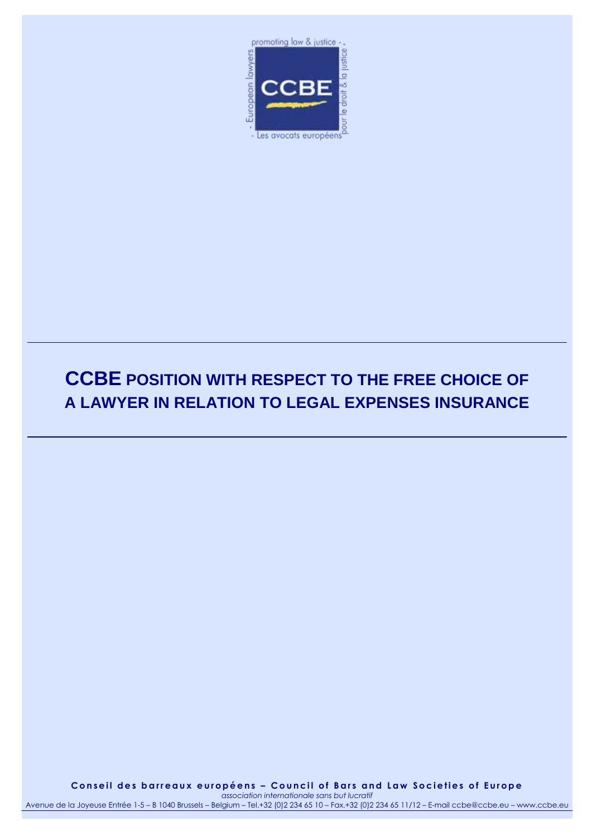

# **CCBE POSITION WITH RESPECT TO THE FREE CHOICE OF A LAWYER IN RELATION TO LEGAL EXPENSES INSURANCE**

**C o n s e i l d e s b a r r e a u x e u r o p é e n s – C o u n c i l o f B a r s a n d L a w S o c i e t i e s o f E u r o p e** *association internationale sans but lucratif*

Avenue de la Joyeuse Entrée 1-5 – B 1040 Brussels – Belgium – Tel.+32 (0)2 234 65 10 – Fax.+32 (0)2 234 65 11/12 – E-mail ccbe@ccbe.eu – www.ccbe.eu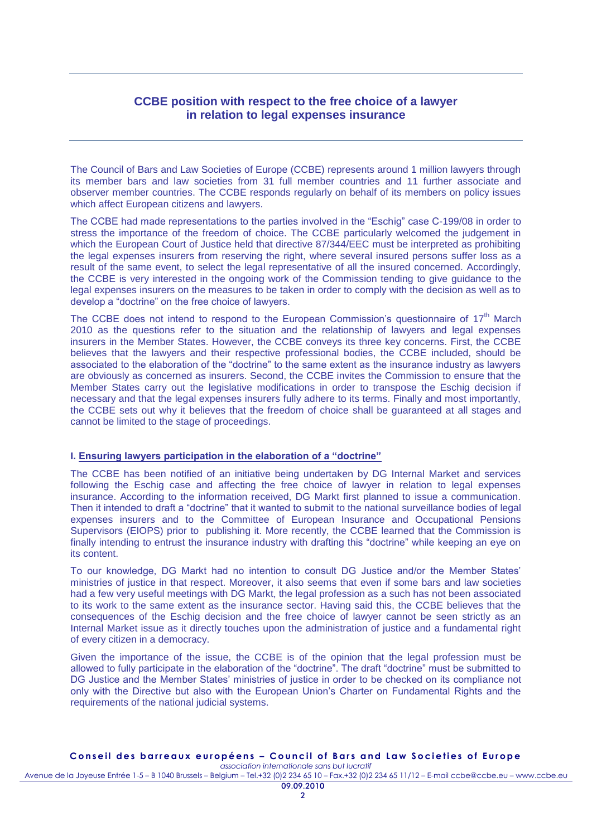# **CCBE position with respect to the free choice of a lawyer in relation to legal expenses insurance**

The Council of Bars and Law Societies of Europe (CCBE) represents around 1 million lawyers through its member bars and law societies from 31 full member countries and 11 further associate and observer member countries. The CCBE responds regularly on behalf of its members on policy issues which affect European citizens and lawyers.

The CCBE had made representations to the parties involved in the "Eschig" case C-199/08 in order to stress the importance of the freedom of choice. The CCBE particularly welcomed the judgement in which the European Court of Justice held that directive 87/344/EEC must be interpreted as prohibiting the legal expenses insurers from reserving the right, where several insured persons suffer loss as a result of the same event, to select the legal representative of all the insured concerned. Accordingly, the CCBE is very interested in the ongoing work of the Commission tending to give guidance to the legal expenses insurers on the measures to be taken in order to comply with the decision as well as to develop a "doctrine" on the free choice of lawyers.

The CCBE does not intend to respond to the European Commission's questionnaire of  $17<sup>th</sup>$  March 2010 as the questions refer to the situation and the relationship of lawyers and legal expenses insurers in the Member States. However, the CCBE conveys its three key concerns. First, the CCBE believes that the lawyers and their respective professional bodies, the CCBE included, should be associated to the elaboration of the "doctrine" to the same extent as the insurance industry as lawyers are obviously as concerned as insurers. Second, the CCBE invites the Commission to ensure that the Member States carry out the legislative modifications in order to transpose the Eschig decision if necessary and that the legal expenses insurers fully adhere to its terms. Finally and most importantly, the CCBE sets out why it believes that the freedom of choice shall be guaranteed at all stages and cannot be limited to the stage of proceedings.

#### **I. Ensuring lawyers participation in the elaboration of a "doctrine"**

The CCBE has been notified of an initiative being undertaken by DG Internal Market and services following the Eschig case and affecting the free choice of lawyer in relation to legal expenses insurance. According to the information received, DG Markt first planned to issue a communication. Then it intended to draft a "doctrine" that it wanted to submit to the national surveillance bodies of legal expenses insurers and to the Committee of European Insurance and Occupational Pensions Supervisors (EIOPS) prior to publishing it. More recently, the CCBE learned that the Commission is finally intending to entrust the insurance industry with drafting this "doctrine" while keeping an eye on its content.

To our knowledge, DG Markt had no intention to consult DG Justice and/or the Member States' ministries of justice in that respect. Moreover, it also seems that even if some bars and law societies had a few very useful meetings with DG Markt, the legal profession as a such has not been associated to its work to the same extent as the insurance sector. Having said this, the CCBE believes that the consequences of the Eschig decision and the free choice of lawyer cannot be seen strictly as an Internal Market issue as it directly touches upon the administration of justice and a fundamental right of every citizen in a democracy.

Given the importance of the issue, the CCBE is of the opinion that the legal profession must be allowed to fully participate in the elaboration of the "doctrine". The draft "doctrine" must be submitted to DG Justice and the Member States' ministries of justice in order to be checked on its compliance not only with the Directive but also with the European Union's Charter on Fundamental Rights and the requirements of the national judicial systems.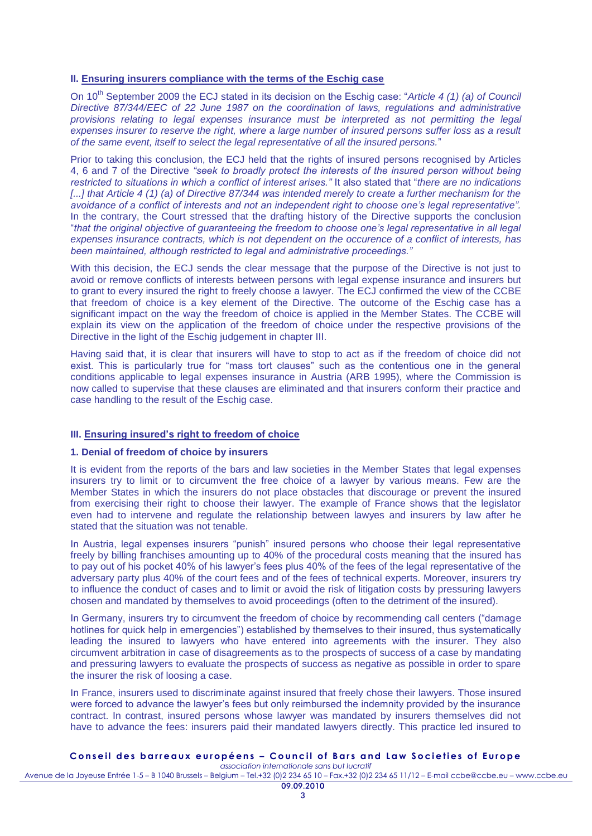### **II. Ensuring insurers compliance with the terms of the Eschig case**

On 10<sup>th</sup> September 2009 the ECJ stated in its decision on the Eschig case: "Article 4 (1) (a) of Council *Directive 87/344/EEC of 22 June 1987 on the coordination of laws, regulations and administrative*  provisions relating to legal expenses insurance must be interpreted as not permitting the legal *expenses insurer to reserve the right, where a large number of insured persons suffer loss as a result of the same event, itself to select the legal representative of all the insured persons.*"

Prior to taking this conclusion, the ECJ held that the rights of insured persons recognised by Articles 4, 6 and 7 of the Directive *"seek to broadly protect the interests of the insured person without being restricted to situations in which a conflict of interest arises."* It also stated that "*there are no indications [...] that Article 4 (1) (a) of Directive 87/344 was intended merely to create a further mechanism for the avoidance of a conflict of interests and not an independent right to choose one's legal representative".* In the contrary, the Court stressed that the drafting history of the Directive supports the conclusion "*that the original objective of guaranteeing the freedom to choose one's legal representative in all legal expenses insurance contracts, which is not dependent on the occurence of a conflict of interests, has been maintained, although restricted to legal and administrative proceedings."*

With this decision, the ECJ sends the clear message that the purpose of the Directive is not just to avoid or remove conflicts of interests between persons with legal expense insurance and insurers but to grant to every insured the right to freely choose a lawyer. The ECJ confirmed the view of the CCBE that freedom of choice is a key element of the Directive. The outcome of the Eschig case has a significant impact on the way the freedom of choice is applied in the Member States. The CCBE will explain its view on the application of the freedom of choice under the respective provisions of the Directive in the light of the Eschig judgement in chapter III.

Having said that, it is clear that insurers will have to stop to act as if the freedom of choice did not exist. This is particularly true for "mass tort clauses" such as the contentious one in the general conditions applicable to legal expenses insurance in Austria (ARB 1995), where the Commission is now called to supervise that these clauses are eliminated and that insurers conform their practice and case handling to the result of the Eschig case.

# **III. Ensuring insured's right to freedom of choice**

# **1. Denial of freedom of choice by insurers**

It is evident from the reports of the bars and law societies in the Member States that legal expenses insurers try to limit or to circumvent the free choice of a lawyer by various means. Few are the Member States in which the insurers do not place obstacles that discourage or prevent the insured from exercising their right to choose their lawyer. The example of France shows that the legislator even had to intervene and regulate the relationship between lawyes and insurers by law after he stated that the situation was not tenable.

In Austria, legal expenses insurers "punish" insured persons who choose their legal representative freely by billing franchises amounting up to 40% of the procedural costs meaning that the insured has to pay out of his pocket 40% of his lawyer's fees plus 40% of the fees of the legal representative of the adversary party plus 40% of the court fees and of the fees of technical experts. Moreover, insurers try to influence the conduct of cases and to limit or avoid the risk of litigation costs by pressuring lawyers chosen and mandated by themselves to avoid proceedings (often to the detriment of the insured).

In Germany, insurers try to circumvent the freedom of choice by recommending call centers ("damage hotlines for quick help in emergencies") established by themselves to their insured, thus systematically leading the insured to lawyers who have entered into agreements with the insurer. They also circumvent arbitration in case of disagreements as to the prospects of success of a case by mandating and pressuring lawyers to evaluate the prospects of success as negative as possible in order to spare the insurer the risk of loosing a case.

In France, insurers used to discriminate against insured that freely chose their lawyers. Those insured were forced to advance the lawyer's fees but only reimbursed the indemnity provided by the insurance contract. In contrast, insured persons whose lawyer was mandated by insurers themselves did not have to advance the fees: insurers paid their mandated lawyers directly. This practice led insured to

# **C o n s e i l d e s b a r r e a u x e u r o p é e n s – C o u n c i l o f B a r s a n d L a w S o c i e t i e s o f E u r o p e**

*association internationale sans but lucratif* Avenue de la Joyeuse Entrée 1-5 – B 1040 Brussels – Belgium – Tel.+32 (0)2 234 65 10 – Fax.+32 (0)2 234 65 11/12 – E-mail ccbe@ccbe.eu – www.ccbe.eu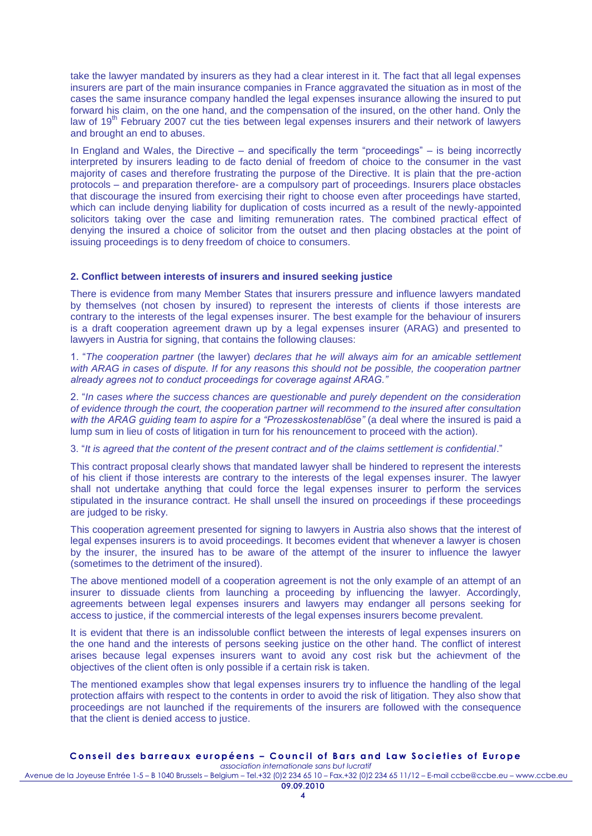take the lawyer mandated by insurers as they had a clear interest in it. The fact that all legal expenses insurers are part of the main insurance companies in France aggravated the situation as in most of the cases the same insurance company handled the legal expenses insurance allowing the insured to put forward his claim, on the one hand, and the compensation of the insured, on the other hand. Only the law of 19<sup>th</sup> February 2007 cut the ties between legal expenses insurers and their network of lawyers and brought an end to abuses.

In England and Wales, the Directive – and specifically the term "proceedings" – is being incorrectly interpreted by insurers leading to de facto denial of freedom of choice to the consumer in the vast majority of cases and therefore frustrating the purpose of the Directive. It is plain that the pre-action protocols – and preparation therefore- are a compulsory part of proceedings. Insurers place obstacles that discourage the insured from exercising their right to choose even after proceedings have started, which can include denying liability for duplication of costs incurred as a result of the newly-appointed solicitors taking over the case and limiting remuneration rates. The combined practical effect of denying the insured a choice of solicitor from the outset and then placing obstacles at the point of issuing proceedings is to deny freedom of choice to consumers.

#### **2. Conflict between interests of insurers and insured seeking justice**

There is evidence from many Member States that insurers pressure and influence lawyers mandated by themselves (not chosen by insured) to represent the interests of clients if those interests are contrary to the interests of the legal expenses insurer. The best example for the behaviour of insurers is a draft cooperation agreement drawn up by a legal expenses insurer (ARAG) and presented to lawyers in Austria for signing, that contains the following clauses:

1. "*The cooperation partner* (the lawyer) *declares that he will always aim for an amicable settlement*  with ARAG in cases of dispute. If for any reasons this should not be possible, the cooperation partner *already agrees not to conduct proceedings for coverage against ARAG."*

2. "*In cases where the success chances are questionable and purely dependent on the consideration of evidence through the court, the cooperation partner will recommend to the insured after consultation with the ARAG guiding team to aspire for a "Prozesskostenablöse"* (a deal where the insured is paid a lump sum in lieu of costs of litigation in turn for his renouncement to proceed with the action).

3. "*It is agreed that the content of the present contract and of the claims settlement is confidential*."

This contract proposal clearly shows that mandated lawyer shall be hindered to represent the interests of his client if those interests are contrary to the interests of the legal expenses insurer. The lawyer shall not undertake anything that could force the legal expenses insurer to perform the services stipulated in the insurance contract. He shall unsell the insured on proceedings if these proceedings are judged to be risky.

This cooperation agreement presented for signing to lawyers in Austria also shows that the interest of legal expenses insurers is to avoid proceedings. It becomes evident that whenever a lawyer is chosen by the insurer, the insured has to be aware of the attempt of the insurer to influence the lawyer (sometimes to the detriment of the insured).

The above mentioned modell of a cooperation agreement is not the only example of an attempt of an insurer to dissuade clients from launching a proceeding by influencing the lawyer. Accordingly, agreements between legal expenses insurers and lawyers may endanger all persons seeking for access to justice, if the commercial interests of the legal expenses insurers become prevalent.

It is evident that there is an indissoluble conflict between the interests of legal expenses insurers on the one hand and the interests of persons seeking justice on the other hand. The conflict of interest arises because legal expenses insurers want to avoid any cost risk but the achievment of the objectives of the client often is only possible if a certain risk is taken.

The mentioned examples show that legal expenses insurers try to influence the handling of the legal protection affairs with respect to the contents in order to avoid the risk of litigation. They also show that proceedings are not launched if the requirements of the insurers are followed with the consequence that the client is denied access to justice.

#### **C o n s e i l d e s b a r r e a u x e u r o p é e n s – C o u n c i l o f B a r s a n d L a w S o c i e t i e s o f E u r o p e** *association internationale sans but lucratif*

Avenue de la Joyeuse Entrée 1-5 – B 1040 Brussels – Belgium – Tel.+32 (0)2 234 65 10 – Fax.+32 (0)2 234 65 11/12 – E-mail ccbe@ccbe.eu – www.ccbe.eu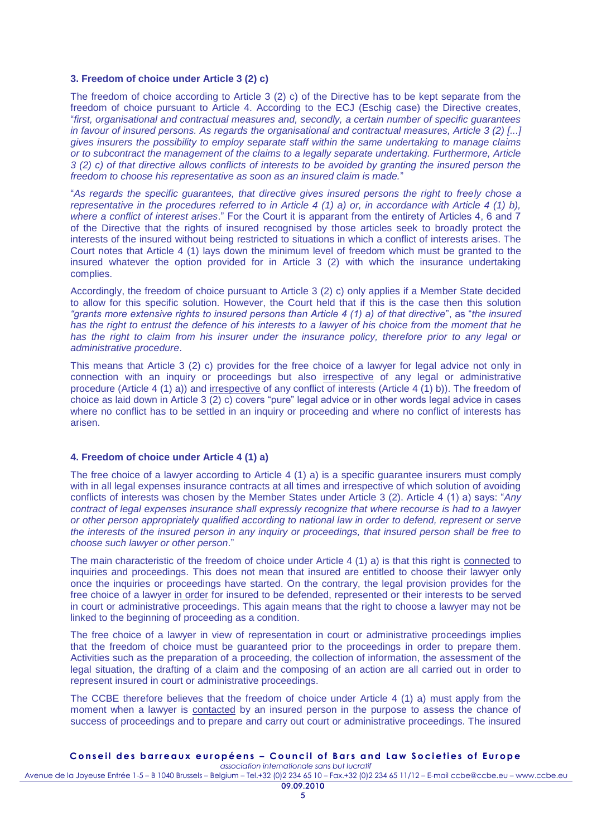#### **3. Freedom of choice under Article 3 (2) c)**

The freedom of choice according to Article 3 (2) c) of the Directive has to be kept separate from the freedom of choice pursuant to Article 4. According to the ECJ (Eschig case) the Directive creates, "*first, organisational and contractual measures and, secondly, a certain number of specific guarantees in favour of insured persons. As regards the organisational and contractual measures, Article 3 (2) [...] gives insurers the possibility to employ separate staff within the same undertaking to manage claims or to subcontract the management of the claims to a legally separate undertaking. Furthermore, Article 3 (2) c) of that directive allows conflicts of interests to be avoided by granting the insured person the freedom to choose his representative as soon as an insured claim is made.*"

"*As regards the specific guarantees, that directive gives insured persons the right to freely chose a representative in the procedures referred to in Article 4 (1) a) or, in accordance with Article 4 (1) b), where a conflict of interest arises*." For the Court it is apparant from the entirety of Articles 4, 6 and 7 of the Directive that the rights of insured recognised by those articles seek to broadly protect the interests of the insured without being restricted to situations in which a conflict of interests arises. The Court notes that Article 4 (1) lays down the minimum level of freedom which must be granted to the insured whatever the option provided for in Article 3 (2) with which the insurance undertaking complies.

Accordingly, the freedom of choice pursuant to Article 3 (2) c) only applies if a Member State decided to allow for this specific solution. However, the Court held that if this is the case then this solution *"grants more extensive rights to insured persons than Article 4 (1) a) of that directive*", as "*the insured*  has the right to entrust the defence of his interests to a lawyer of his choice from the moment that he *has the right to claim from his insurer under the insurance policy, therefore prior to any legal or administrative procedure*.

This means that Article 3 (2) c) provides for the free choice of a lawyer for legal advice not only in connection with an inquiry or proceedings but also irrespective of any legal or administrative procedure (Article 4 (1) a)) and irrespective of any conflict of interests (Article 4 (1) b)). The freedom of choice as laid down in Article 3 (2) c) covers "pure" legal advice or in other words legal advice in cases where no conflict has to be settled in an inquiry or proceeding and where no conflict of interests has arisen.

#### **4. Freedom of choice under Article 4 (1) a)**

The free choice of a lawyer according to Article 4 (1) a) is a specific guarantee insurers must comply with in all legal expenses insurance contracts at all times and irrespective of which solution of avoiding conflicts of interests was chosen by the Member States under Article 3 (2). Article 4 (1) a) says: "*Any contract of legal expenses insurance shall expressly recognize that where recourse is had to a lawyer or other person appropriately qualified according to national law in order to defend, represent or serve the interests of the insured person in any inquiry or proceedings, that insured person shall be free to choose such lawyer or other person*."

The main characteristic of the freedom of choice under Article 4 (1) a) is that this right is connected to inquiries and proceedings. This does not mean that insured are entitled to choose their lawyer only once the inquiries or proceedings have started. On the contrary, the legal provision provides for the free choice of a lawyer in order for insured to be defended, represented or their interests to be served in court or administrative proceedings. This again means that the right to choose a lawyer may not be linked to the beginning of proceeding as a condition.

The free choice of a lawyer in view of representation in court or administrative proceedings implies that the freedom of choice must be guaranteed prior to the proceedings in order to prepare them. Activities such as the preparation of a proceeding, the collection of information, the assessment of the legal situation, the drafting of a claim and the composing of an action are all carried out in order to represent insured in court or administrative proceedings.

The CCBE therefore believes that the freedom of choice under Article 4 (1) a) must apply from the moment when a lawyer is contacted by an insured person in the purpose to assess the chance of success of proceedings and to prepare and carry out court or administrative proceedings. The insured

# **C o n s e i l d e s b a r r e a u x e u r o p é e n s – C o u n c i l o f B a r s a n d L a w S o c i e t i e s o f E u r o p e**

*association internationale sans but lucratif* Avenue de la Joyeuse Entrée 1-5 – B 1040 Brussels – Belgium – Tel.+32 (0)2 234 65 10 – Fax.+32 (0)2 234 65 11/12 – E-mail ccbe@ccbe.eu – www.ccbe.eu